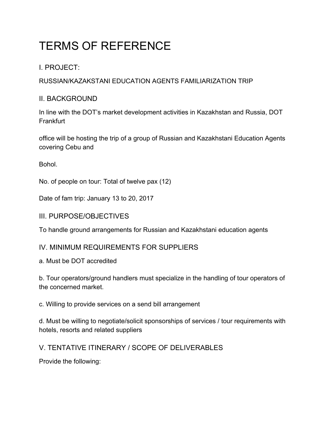# TERMS OF REFERENCE

## I. PROJECT:

RUSSIAN/KAZAKSTANI EDUCATION AGENTS FAMILIARIZATION TRIP

## II. BACKGROUND

In line with the DOT's market development activities in Kazakhstan and Russia, DOT **Frankfurt** 

office will be hosting the trip of a group of Russian and Kazakhstani Education Agents covering Cebu and

Bohol.

No. of people on tour: Total of twelve pax (12)

Date of fam trip: January 13 to 20, 2017

### III. PURPOSE/OBJECTIVES

To handle ground arrangements for Russian and Kazakhstani education agents

## IV. MINIMUM REQUIREMENTS FOR SUPPLIERS

a. Must be DOT accredited

b. Tour operators/ground handlers must specialize in the handling of tour operators of the concerned market.

c. Willing to provide services on a send bill arrangement

d. Must be willing to negotiate/solicit sponsorships of services / tour requirements with hotels, resorts and related suppliers

V. TENTATIVE ITINERARY / SCOPE OF DELIVERABLES

Provide the following: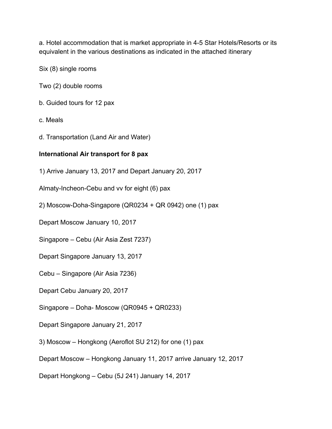a. Hotel accommodation that is market appropriate in 4-5 Star Hotels/Resorts or its equivalent in the various destinations as indicated in the attached itinerary

Six (8) single rooms

Two (2) double rooms

- b. Guided tours for 12 pax
- c. Meals
- d. Transportation (Land Air and Water)

#### **International Air transport for 8 pax**

1) Arrive January 13, 2017 and Depart January 20, 2017

Almaty-Incheon-Cebu and vv for eight (6) pax

- 2) Moscow-Doha-Singapore (QR0234 + QR 0942) one (1) pax
- Depart Moscow January 10, 2017
- Singapore Cebu (Air Asia Zest 7237)
- Depart Singapore January 13, 2017
- Cebu Singapore (Air Asia 7236)
- Depart Cebu January 20, 2017
- Singapore Doha- Moscow (QR0945 + QR0233)
- Depart Singapore January 21, 2017
- 3) Moscow Hongkong (Aeroflot SU 212) for one (1) pax
- Depart Moscow Hongkong January 11, 2017 arrive January 12, 2017
- Depart Hongkong Cebu (5J 241) January 14, 2017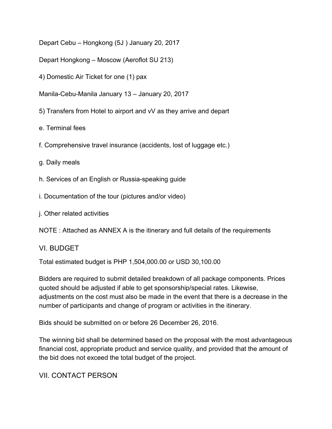Depart Cebu – Hongkong (5J ) January 20, 2017

Depart Hongkong – Moscow (Aeroflot SU 213)

4) Domestic Air Ticket for one (1) pax

Manila-Cebu-Manila January 13 – January 20, 2017

5) Transfers from Hotel to airport and vV as they arrive and depart

e. Terminal fees

f. Comprehensive travel insurance (accidents, lost of luggage etc.)

g. Daily meals

h. Services of an English or Russia-speaking guide

i. Documentation of the tour (pictures and/or video)

j. Other related activities

NOTE : Attached as ANNEX A is the itinerary and full details of the requirements

#### VI. BUDGET

Total estimated budget is PHP 1,504,000.00 or USD 30,100.00

Bidders are required to submit detailed breakdown of all package components. Prices quoted should be adjusted if able to get sponsorship/special rates. Likewise, adjustments on the cost must also be made in the event that there is a decrease in the number of participants and change of program or activities in the itinerary.

Bids should be submitted on or before 26 December 26, 2016.

The winning bid shall be determined based on the proposal with the most advantageous financial cost, appropriate product and service quality, and provided that the amount of the bid does not exceed the total budget of the project.

VII. CONTACT PERSON